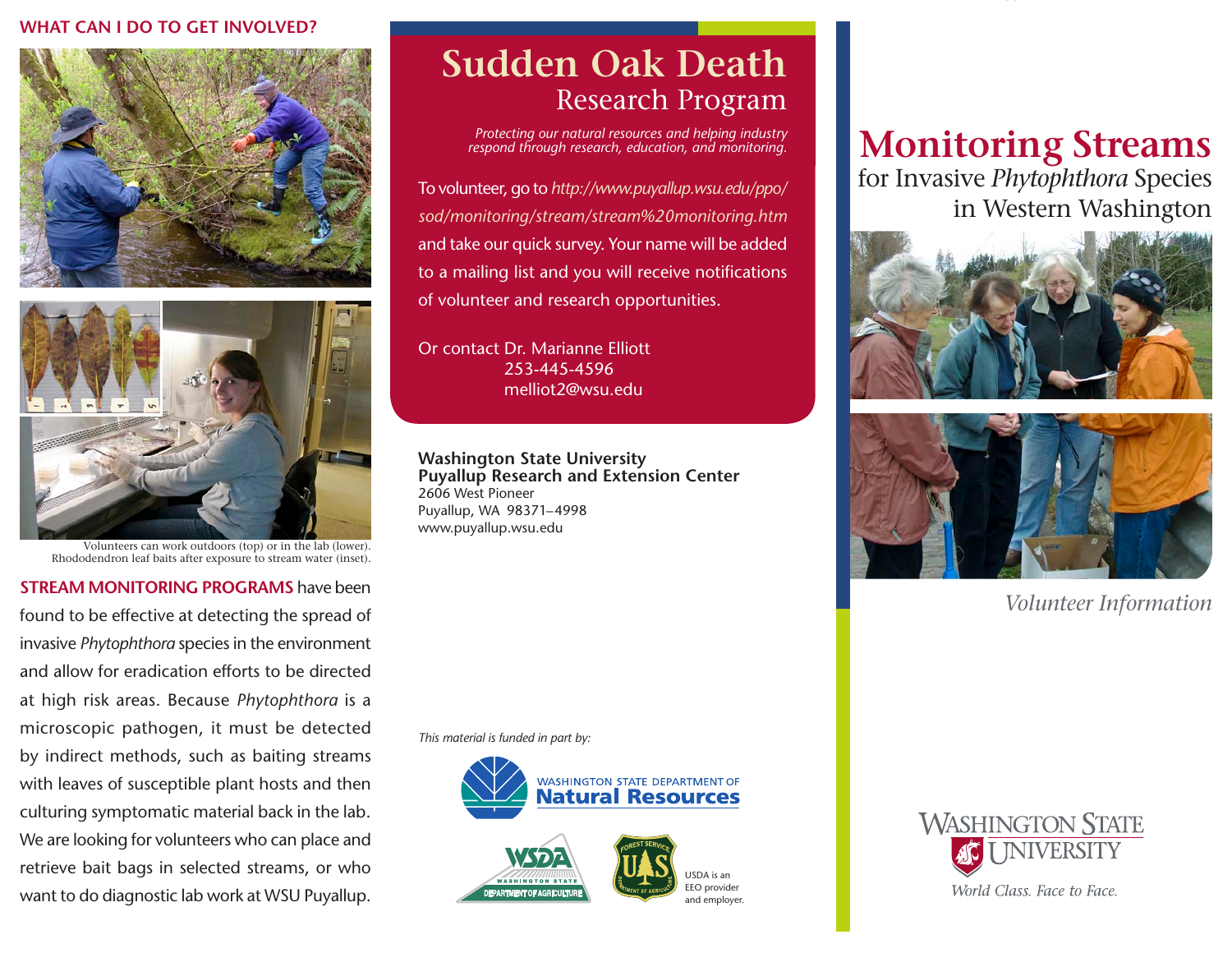#### **WHAT CAN I DO TO GET INVOLVED?**





Volunteers can work outdoors (top) or in the lab (lower). Rhododendron leaf baits after exposure to stream water (inset).

**STREAM MONITORING PROGRAMS** have been found to be effective at detecting the spread of invasive *Phytophthora* species in the environment and allow for eradication efforts to be directed at high risk areas. Because *Phytophthora* is a microscopic pathogen, it must be detected by indirect methods, such as baiting streams with leaves of susceptible plant hosts and then culturing symptomatic material back in the lab. We are looking for volunteers who can place and retrieve bait bags in selected streams, or who want to do diagnostic lab work at WSU Puyallup.

## **Sudden Oak Death** Research Program

*Protecting our natural resources and helping industry respond through research, education, and monitoring.*

**OUTSIDE COVER**

To volunteer, go to *http://www.puyallup.wsu.edu/ppo/ sod/monitoring/stream/stream%20monitoring.htm* and take our quick survey. Your name will be added to a mailing list and you will receive notifications of volunteer and research opportunities.

Or contact Dr. Marianne Elliott 253-445-4596 melliot2@wsu.edu

**Washington State University Puyallup Research and Extension Center** 2606 West Pioneer Puyallup, WA 98371–4998 www.puyallup.wsu.edu

*This material is funded in part by:*



# **Monitoring Streams**

for Invasive *Phytophthora* Species in Western Washington





*Volunteer Information*